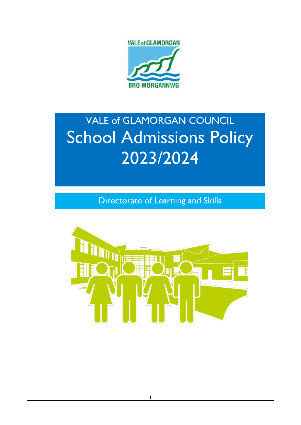

# VALE of GLAMORGAN COUNCIL **School Admissions Policy** 2023/2024

Directorate of Learning and Skills

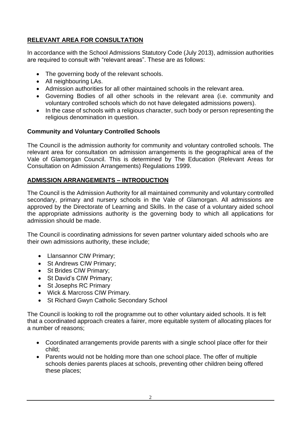# **RELEVANT AREA FOR CONSULTATION**

In accordance with the School Admissions Statutory Code (July 2013), admission authorities are required to consult with "relevant areas". These are as follows:

- The governing body of the relevant schools.
- All neighbouring LAs.
- Admission authorities for all other maintained schools in the relevant area.
- Governing Bodies of all other schools in the relevant area (i.e. community and voluntary controlled schools which do not have delegated admissions powers).
- In the case of schools with a religious character, such body or person representing the religious denomination in question.

# **Community and Voluntary Controlled Schools**

The Council is the admission authority for community and voluntary controlled schools. The relevant area for consultation on admission arrangements is the geographical area of the Vale of Glamorgan Council. This is determined by The Education (Relevant Areas for Consultation on Admission Arrangements) Regulations 1999.

# **ADMISSION ARRANGEMENTS – INTRODUCTION**

The Council is the Admission Authority for all maintained community and voluntary controlled secondary, primary and nursery schools in the Vale of Glamorgan. All admissions are approved by the Directorate of Learning and Skills. In the case of a voluntary aided school the appropriate admissions authority is the governing body to which all applications for admission should be made.

The Council is coordinating admissions for seven partner voluntary aided schools who are their own admissions authority, these include;

- Llansannor CIW Primary;
- St Andrews CIW Primary:
- St Brides CIW Primary;
- St David's CIW Primary;
- St Josephs RC Primary
- Wick & Marcross CIW Primary.
- St Richard Gwyn Catholic Secondary School

The Council is looking to roll the programme out to other voluntary aided schools. It is felt that a coordinated approach creates a fairer, more equitable system of allocating places for a number of reasons;

- Coordinated arrangements provide parents with a single school place offer for their child;
- Parents would not be holding more than one school place. The offer of multiple schools denies parents places at schools, preventing other children being offered these places;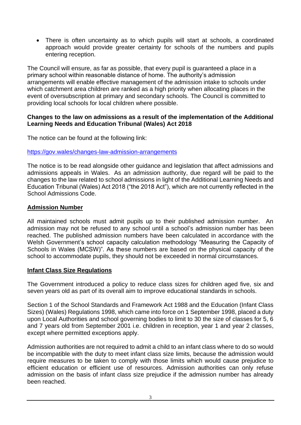• There is often uncertainty as to which pupils will start at schools, a coordinated approach would provide greater certainty for schools of the numbers and pupils entering reception.

The Council will ensure, as far as possible, that every pupil is guaranteed a place in a primary school within reasonable distance of home. The authority's admission arrangements will enable effective management of the admission intake to schools under which catchment area children are ranked as a high priority when allocating places in the event of oversubscription at primary and secondary schools. The Council is committed to providing local schools for local children where possible.

#### **Changes to the law on admissions as a result of the implementation of the Additional Learning Needs and Education Tribunal (Wales) Act 2018**

The notice can be found at the following link:

#### [https://gov.wales/changes-law-admission-arrangements](https://gbr01.safelinks.protection.outlook.com/?url=https%3A%2F%2Fgov.wales%2Fchanges-law-admission-arrangements&data=04%7C01%7CLLewis%40valeofglamorgan.gov.uk%7C918a45a1bcd348ac4b0308d9ab83ad47%7Ce399d3bb38ed469691cf79851dbf55ec%7C0%7C0%7C637729404293522319%7CUnknown%7CTWFpbGZsb3d8eyJWIjoiMC4wLjAwMDAiLCJQIjoiV2luMzIiLCJBTiI6Ik1haWwiLCJXVCI6Mn0%3D%7C3000&sdata=tnvvCRyb6BZlicH1%2Byl1J01p3I7vKZ8%2FvGm3EkcagJE%3D&reserved=0)

The notice is to be read alongside other guidance and legislation that affect admissions and admissions appeals in Wales. As an admission authority, due regard will be paid to the changes to the law related to school admissions in light of the Additional Learning Needs and Education Tribunal (Wales) Act 2018 ("the 2018 Act"), which are not currently reflected in the School Admissions Code.

#### **Admission Number**

All maintained schools must admit pupils up to their published admission number. An admission may not be refused to any school until a school's admission number has been reached. The published admission numbers have been calculated in accordance with the Welsh Government's school capacity calculation methodology "Measuring the Capacity of Schools in Wales (MCSW)". As these numbers are based on the physical capacity of the school to accommodate pupils, they should not be exceeded in normal circumstances.

#### **Infant Class Size Regulations**

The Government introduced a policy to reduce class sizes for children aged five, six and seven years old as part of its overall aim to improve educational standards in schools.

Section 1 of the School Standards and Framework Act 1988 and the Education (Infant Class Sizes) (Wales) Regulations 1998, which came into force on 1 September 1998, placed a duty upon Local Authorities and school governing bodies to limit to 30 the size of classes for 5, 6 and 7 years old from September 2001 i.e. children in reception, year 1 and year 2 classes, except where permitted exceptions apply.

Admission authorities are not required to admit a child to an infant class where to do so would be incompatible with the duty to meet infant class size limits, because the admission would require measures to be taken to comply with those limits which would cause prejudice to efficient education or efficient use of resources. Admission authorities can only refuse admission on the basis of infant class size prejudice if the admission number has already been reached.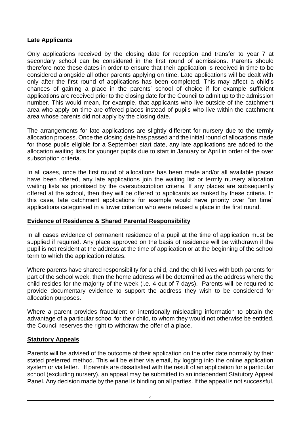# **Late Applicants**

Only applications received by the closing date for reception and transfer to year 7 at secondary school can be considered in the first round of admissions. Parents should therefore note these dates in order to ensure that their application is received in time to be considered alongside all other parents applying on time. Late applications will be dealt with only after the first round of applications has been completed. This may affect a child's chances of gaining a place in the parents' school of choice if for example sufficient applications are received prior to the closing date for the Council to admit up to the admission number. This would mean, for example, that applicants who live outside of the catchment area who apply on time are offered places instead of pupils who live within the catchment area whose parents did not apply by the closing date.

The arrangements for late applications are slightly different for nursery due to the termly allocation process. Once the closing date has passed and the initial round of allocations made for those pupils eligible for a September start date, any late applications are added to the allocation waiting lists for younger pupils due to start in January or April in order of the over subscription criteria.

In all cases, once the first round of allocations has been made and/or all available places have been offered, any late applications join the waiting list or termly nursery allocation waiting lists as prioritised by the oversubscription criteria. If any places are subsequently offered at the school, then they will be offered to applicants as ranked by these criteria. In this case, late catchment applications for example would have priority over "on time" applications categorised in a lower criterion who were refused a place in the first round.

#### **Evidence of Residence & Shared Parental Responsibility**

In all cases evidence of permanent residence of a pupil at the time of application must be supplied if required. Any place approved on the basis of residence will be withdrawn if the pupil is not resident at the address at the time of application or at the beginning of the school term to which the application relates.

Where parents have shared responsibility for a child, and the child lives with both parents for part of the school week, then the home address will be determined as the address where the child resides for the majority of the week (i.e. 4 out of 7 days). Parents will be required to provide documentary evidence to support the address they wish to be considered for allocation purposes.

Where a parent provides fraudulent or intentionally misleading information to obtain the advantage of a particular school for their child, to whom they would not otherwise be entitled, the Council reserves the right to withdraw the offer of a place.

#### **Statutory Appeals**

Parents will be advised of the outcome of their application on the offer date normally by their stated preferred method. This will be either via email, by logging into the online application system or via letter. If parents are dissatisfied with the result of an application for a particular school (excluding nursery), an appeal may be submitted to an independent Statutory Appeal Panel. Any decision made by the panel is binding on all parties. If the appeal is not successful,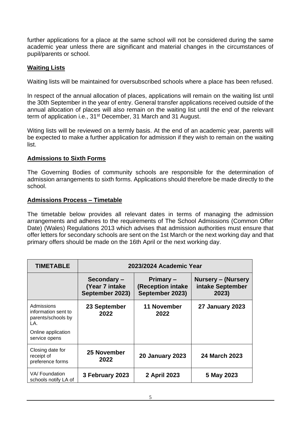further applications for a place at the same school will not be considered during the same academic year unless there are significant and material changes in the circumstances of pupil/parents or school.

## **Waiting Lists**

Waiting lists will be maintained for oversubscribed schools where a place has been refused.

In respect of the annual allocation of places, applications will remain on the waiting list until the 30th September in the year of entry. General transfer applications received outside of the annual allocation of places will also remain on the waiting list until the end of the relevant term of application i.e., 31<sup>st</sup> December, 31 March and 31 August.

Witing lists will be reviewed on a termly basis. At the end of an academic year, parents will be expected to make a further application for admission if they wish to remain on the waiting list.

#### **Admissions to Sixth Forms**

The Governing Bodies of community schools are responsible for the determination of admission arrangements to sixth forms. Applications should therefore be made directly to the school.

#### **Admissions Process – Timetable**

The timetable below provides all relevant dates in terms of managing the admission arrangements and adheres to the requirements of The School Admissions (Common Offer Date) (Wales) Regulations 2013 which advises that admission authorities must ensure that offer letters for secondary schools are sent on the 1st March or the next working day and that primary offers should be made on the 16th April or the next working day.

| <b>TIMETABLE</b>                                               | 2023/2024 Academic Year                          |                                                          |                                                        |
|----------------------------------------------------------------|--------------------------------------------------|----------------------------------------------------------|--------------------------------------------------------|
|                                                                | Secondary-<br>(Year 7 intake)<br>September 2023) | Primary -<br><b>(Reception intake</b><br>September 2023) | <b>Nursery – (Nursery</b><br>intake September<br>2023) |
| Admissions<br>information sent to<br>parents/schools by<br>LA. | 23 September<br>2022                             | 11 November<br>2022                                      | <b>27 January 2023</b>                                 |
| Online application<br>service opens                            |                                                  |                                                          |                                                        |
| Closing date for<br>receipt of<br>preference forms             | 25 November<br>2022                              | <b>20 January 2023</b>                                   | 24 March 2023                                          |
| VA/Foundation<br>schools notify LA of                          | 3 February 2023                                  | 2 April 2023                                             | 5 May 2023                                             |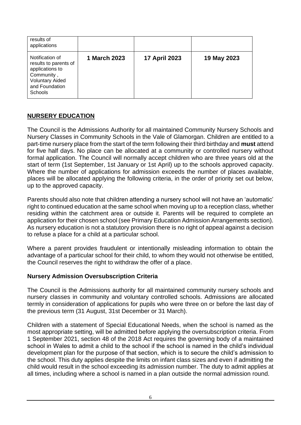| results of<br>applications                                                                                                              |              |                      |             |
|-----------------------------------------------------------------------------------------------------------------------------------------|--------------|----------------------|-------------|
| Notification of<br>results to parents of<br>applications to<br>Community,<br><b>Voluntary Aided</b><br>and Foundation<br><b>Schools</b> | 1 March 2023 | <b>17 April 2023</b> | 19 May 2023 |

# **NURSERY EDUCATION**

The Council is the Admissions Authority for all maintained Community Nursery Schools and Nursery Classes in Community Schools in the Vale of Glamorgan. Children are entitled to a part-time nursery place from the start of the term following their third birthday and **must** attend for five half days. No place can be allocated at a community or controlled nursery without formal application. The Council will normally accept children who are three years old at the start of term (1st September, 1st January or 1st April) up to the schools approved capacity. Where the number of applications for admission exceeds the number of places available, places will be allocated applying the following criteria, in the order of priority set out below, up to the approved capacity.

Parents should also note that children attending a nursery school will not have an 'automatic' right to continued education at the same school when moving up to a reception class, whether residing within the catchment area or outside it. Parents will be required to complete an application for their chosen school (see Primary Education Admission Arrangements section). As nursery education is not a statutory provision there is no right of appeal against a decision to refuse a place for a child at a particular school.

Where a parent provides fraudulent or intentionally misleading information to obtain the advantage of a particular school for their child, to whom they would not otherwise be entitled, the Council reserves the right to withdraw the offer of a place.

#### **Nursery Admission Oversubscription Criteria**

The Council is the Admissions authority for all maintained community nursery schools and nursery classes in community and voluntary controlled schools. Admissions are allocated termly in consideration of applications for pupils who were three on or before the last day of the previous term (31 August, 31st December or 31 March).

Children with a statement of Special Educational Needs, when the school is named as the most appropriate setting, will be admitted before applying the oversubscription criteria. From 1 September 2021, section 48 of the 2018 Act requires the governing body of a maintained school in Wales to admit a child to the school if the school is named in the child's individual development plan for the purpose of that section, which is to secure the child's admission to the school. This duty applies despite the limits on infant class sizes and even if admitting the child would result in the school exceeding its admission number. The duty to admit applies at all times, including where a school is named in a plan outside the normal admission round.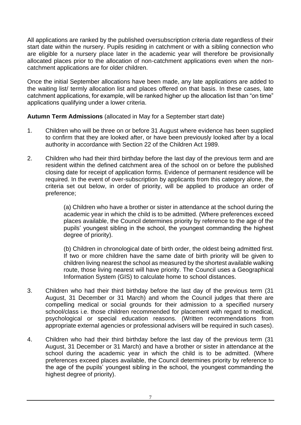All applications are ranked by the published oversubscription criteria date regardless of their start date within the nursery. Pupils residing in catchment or with a sibling connection who are eligible for a nursery place later in the academic year will therefore be provisionally allocated places prior to the allocation of non-catchment applications even when the noncatchment applications are for older children.

Once the initial September allocations have been made, any late applications are added to the waiting list/ termly allocation list and places offered on that basis. In these cases, late catchment applications, for example, will be ranked higher up the allocation list than "on time" applications qualifying under a lower criteria.

**Autumn Term Admissions** (allocated in May for a September start date)

- 1. Children who will be three on or before 31 August where evidence has been supplied to confirm that they are looked after, or have been previously looked after by a local authority in accordance with Section 22 of the Children Act 1989.
- 2. Children who had their third birthday before the last day of the previous term and are resident within the defined catchment area of the school on or before the published closing date for receipt of application forms. Evidence of permanent residence will be required. In the event of over-subscription by applicants from this category alone, the criteria set out below, in order of priority, will be applied to produce an order of preference;

(a) Children who have a brother or sister in attendance at the school during the academic year in which the child is to be admitted. (Where preferences exceed places available, the Council determines priority by reference to the age of the pupils' youngest sibling in the school, the youngest commanding the highest degree of priority).

(b) Children in chronological date of birth order, the oldest being admitted first. If two or more children have the same date of birth priority will be given to children living nearest the school as measured by the shortest available walking route, those living nearest will have priority. The Council uses a Geographical Information System (GIS) to calculate home to school distances.

- 3. Children who had their third birthday before the last day of the previous term (31 August, 31 December or 31 March) and whom the Council judges that there are compelling medical or social grounds for their admission to a specified nursery school/class i.e. those children recommended for placement with regard to medical, psychological or special education reasons. (Written recommendations from appropriate external agencies or professional advisers will be required in such cases).
- 4. Children who had their third birthday before the last day of the previous term (31 August, 31 December or 31 March) and have a brother or sister in attendance at the school during the academic year in which the child is to be admitted. (Where preferences exceed places available, the Council determines priority by reference to the age of the pupils' youngest sibling in the school, the youngest commanding the highest degree of priority).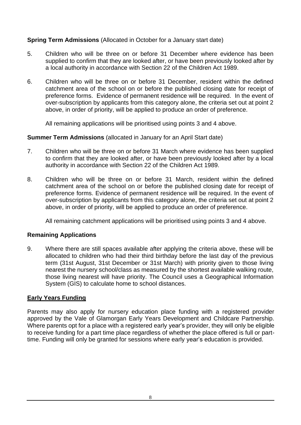# **Spring Term Admissions** (Allocated in October for a January start date)

- 5. Children who will be three on or before 31 December where evidence has been supplied to confirm that they are looked after, or have been previously looked after by a local authority in accordance with Section 22 of the Children Act 1989.
- 6. Children who will be three on or before 31 December, resident within the defined catchment area of the school on or before the published closing date for receipt of preference forms. Evidence of permanent residence will be required. In the event of over-subscription by applicants from this category alone, the criteria set out at point 2 above, in order of priority, will be applied to produce an order of preference.

All remaining applications will be prioritised using points 3 and 4 above.

#### **Summer Term Admissions** (allocated in January for an April Start date)

- 7. Children who will be three on or before 31 March where evidence has been supplied to confirm that they are looked after, or have been previously looked after by a local authority in accordance with Section 22 of the Children Act 1989.
- 8. Children who will be three on or before 31 March, resident within the defined catchment area of the school on or before the published closing date for receipt of preference forms. Evidence of permanent residence will be required. In the event of over-subscription by applicants from this category alone, the criteria set out at point 2 above, in order of priority, will be applied to produce an order of preference.

All remaining catchment applications will be prioritised using points 3 and 4 above.

#### **Remaining Applications**

9. Where there are still spaces available after applying the criteria above, these will be allocated to children who had their third birthday before the last day of the previous term (31st August, 31st December or 31st March) with priority given to those living nearest the nursery school/class as measured by the shortest available walking route, those living nearest will have priority. The Council uses a Geographical Information System (GIS) to calculate home to school distances.

#### **Early Years Funding**

Parents may also apply for nursery education place funding with a registered provider approved by the Vale of Glamorgan Early Years Development and Childcare Partnership. Where parents opt for a place with a registered early year's provider, they will only be eligible to receive funding for a part time place regardless of whether the place offered is full or parttime. Funding will only be granted for sessions where early year's education is provided.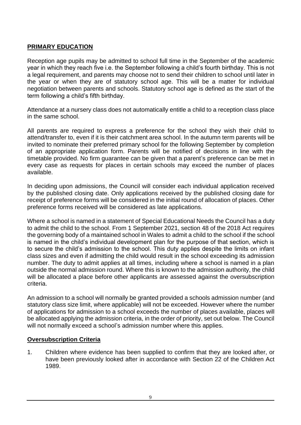# **PRIMARY EDUCATION**

Reception age pupils may be admitted to school full time in the September of the academic year in which they reach five i.e. the September following a child's fourth birthday. This is not a legal requirement, and parents may choose not to send their children to school until later in the year or when they are of statutory school age. This will be a matter for individual negotiation between parents and schools. Statutory school age is defined as the start of the term following a child's fifth birthday.

Attendance at a nursery class does not automatically entitle a child to a reception class place in the same school.

All parents are required to express a preference for the school they wish their child to attend/transfer to, even if it is their catchment area school. In the autumn term parents will be invited to nominate their preferred primary school for the following September by completion of an appropriate application form. Parents will be notified of decisions in line with the timetable provided. No firm guarantee can be given that a parent's preference can be met in every case as requests for places in certain schools may exceed the number of places available.

In deciding upon admissions, the Council will consider each individual application received by the published closing date. Only applications received by the published closing date for receipt of preference forms will be considered in the initial round of allocation of places. Other preference forms received will be considered as late applications.

Where a school is named in a statement of Special Educational Needs the Council has a duty to admit the child to the school. From 1 September 2021, section 48 of the 2018 Act requires the governing body of a maintained school in Wales to admit a child to the school if the school is named in the child's individual development plan for the purpose of that section, which is to secure the child's admission to the school. This duty applies despite the limits on infant class sizes and even if admitting the child would result in the school exceeding its admission number. The duty to admit applies at all times, including where a school is named in a plan outside the normal admission round. Where this is known to the admission authority, the child will be allocated a place before other applicants are assessed against the oversubscription criteria.

An admission to a school will normally be granted provided a schools admission number (and statutory class size limit, where applicable) will not be exceeded. However where the number of applications for admission to a school exceeds the number of places available, places will be allocated applying the admission criteria, in the order of priority, set out below. The Council will not normally exceed a school's admission number where this applies.

#### **Oversubscription Criteria**

1. Children where evidence has been supplied to confirm that they are looked after, or have been previously looked after in accordance with Section 22 of the Children Act 1989.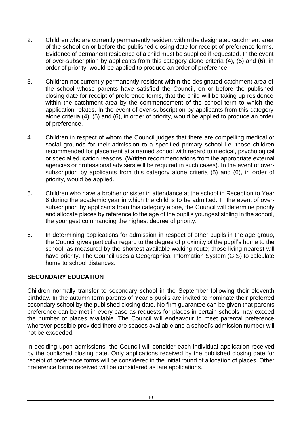- 2. Children who are currently permanently resident within the designated catchment area of the school on or before the published closing date for receipt of preference forms. Evidence of permanent residence of a child must be supplied if requested. In the event of over-subscription by applicants from this category alone criteria (4), (5) and (6), in order of priority, would be applied to produce an order of preference.
- 3. Children not currently permanently resident within the designated catchment area of the school whose parents have satisfied the Council, on or before the published closing date for receipt of preference forms, that the child will be taking up residence within the catchment area by the commencement of the school term to which the application relates. In the event of over-subscription by applicants from this category alone criteria (4), (5) and (6), in order of priority, would be applied to produce an order of preference.
- 4. Children in respect of whom the Council judges that there are compelling medical or social grounds for their admission to a specified primary school i.e. those children recommended for placement at a named school with regard to medical, psychological or special education reasons. (Written recommendations from the appropriate external agencies or professional advisers will be required in such cases). In the event of oversubscription by applicants from this category alone criteria (5) and (6), in order of priority, would be applied.
- 5. Children who have a brother or sister in attendance at the school in Reception to Year 6 during the academic year in which the child is to be admitted. In the event of oversubscription by applicants from this category alone, the Council will determine priority and allocate places by reference to the age of the pupil's youngest sibling in the school, the youngest commanding the highest degree of priority.
- 6. In determining applications for admission in respect of other pupils in the age group, the Council gives particular regard to the degree of proximity of the pupil's home to the school, as measured by the shortest available walking route; those living nearest will have priority. The Council uses a Geographical Information System (GIS) to calculate home to school distances.

# **SECONDARY EDUCATION**

Children normally transfer to secondary school in the September following their eleventh birthday. In the autumn term parents of Year 6 pupils are invited to nominate their preferred secondary school by the published closing date. No firm guarantee can be given that parents preference can be met in every case as requests for places in certain schools may exceed the number of places available. The Council will endeavour to meet parental preference wherever possible provided there are spaces available and a school's admission number will not be exceeded.

In deciding upon admissions, the Council will consider each individual application received by the published closing date. Only applications received by the published closing date for receipt of preference forms will be considered in the initial round of allocation of places. Other preference forms received will be considered as late applications.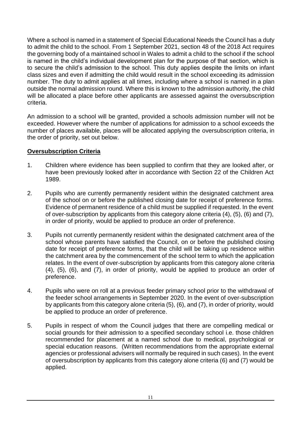Where a school is named in a statement of Special Educational Needs the Council has a duty to admit the child to the school. From 1 September 2021, section 48 of the 2018 Act requires the governing body of a maintained school in Wales to admit a child to the school if the school is named in the child's individual development plan for the purpose of that section, which is to secure the child's admission to the school. This duty applies despite the limits on infant class sizes and even if admitting the child would result in the school exceeding its admission number. The duty to admit applies at all times, including where a school is named in a plan outside the normal admission round. Where this is known to the admission authority, the child will be allocated a place before other applicants are assessed against the oversubscription criteria.

An admission to a school will be granted, provided a schools admission number will not be exceeded. However where the number of applications for admission to a school exceeds the number of places available, places will be allocated applying the oversubscription criteria, in the order of priority, set out below.

#### **Oversubscription Criteria**

- 1. Children where evidence has been supplied to confirm that they are looked after, or have been previously looked after in accordance with Section 22 of the Children Act 1989.
- 2. Pupils who are currently permanently resident within the designated catchment area of the school on or before the published closing date for receipt of preference forms. Evidence of permanent residence of a child must be supplied if requested. In the event of over-subscription by applicants from this category alone criteria (4), (5), (6) and (7), in order of priority, would be applied to produce an order of preference.
- 3. Pupils not currently permanently resident within the designated catchment area of the school whose parents have satisfied the Council, on or before the published closing date for receipt of preference forms, that the child will be taking up residence within the catchment area by the commencement of the school term to which the application relates. In the event of over-subscription by applicants from this category alone criteria (4), (5), (6), and (7), in order of priority, would be applied to produce an order of preference.
- 4. Pupils who were on roll at a previous feeder primary school prior to the withdrawal of the feeder school arrangements in September 2020. In the event of over-subscription by applicants from this category alone criteria (5), (6), and (7), in order of priority, would be applied to produce an order of preference.
- 5. Pupils in respect of whom the Council judges that there are compelling medical or social grounds for their admission to a specified secondary school i.e. those children recommended for placement at a named school due to medical, psychological or special education reasons. (Written recommendations from the appropriate external agencies or professional advisers will normally be required in such cases). In the event of oversubscription by applicants from this category alone criteria (6) and (7) would be applied.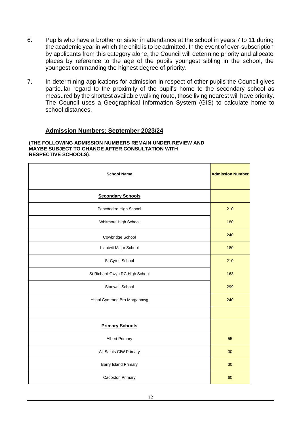- 6. Pupils who have a brother or sister in attendance at the school in years 7 to 11 during the academic year in which the child is to be admitted. In the event of over-subscription by applicants from this category alone, the Council will determine priority and allocate places by reference to the age of the pupils youngest sibling in the school, the youngest commanding the highest degree of priority.
- 7. In determining applications for admission in respect of other pupils the Council gives particular regard to the proximity of the pupil's home to the secondary school as measured by the shortest available walking route, those living nearest will have priority. The Council uses a Geographical Information System (GIS) to calculate home to school distances.

#### **Admission Numbers: September 2023/24**

#### **(THE FOLLOWING ADMISSION NUMBERS REMAIN UNDER REVIEW AND MAYBE SUBJECT TO CHANGE AFTER CONSULTATION WITH RESPECTIVE SCHOOLS)**.

| <b>School Name</b>             | <b>Admission Number</b> |
|--------------------------------|-------------------------|
| <b>Secondary Schools</b>       |                         |
| Pencoedtre High School         | 210                     |
| Whitmore High School           | 180                     |
| Cowbridge School               | 240                     |
| Llantwit Major School          | 180                     |
| St Cyres School                | 210                     |
| St Richard Gwyn RC High School | 163                     |
| Stanwell School                | 299                     |
| Ysgol Gymraeg Bro Morgannwg    | 240                     |
|                                |                         |
| <b>Primary Schools</b>         |                         |
| <b>Albert Primary</b>          | 55                      |
| All Saints CIW Primary         | 30                      |
| Barry Island Primary           | 30                      |
| Cadoxton Primary               | 60                      |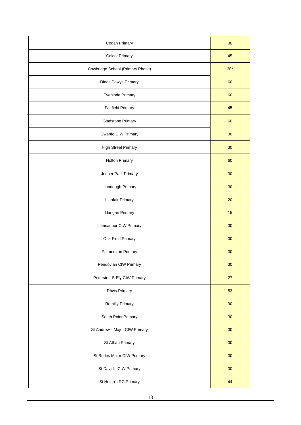| Cogan Primary                    | 30    |
|----------------------------------|-------|
| <b>Colcot Primary</b>            | 45    |
| Cowbridge School (Primary Phase) | $30*$ |
| Dinas Powys Primary              | 60    |
| Evenlode Primary                 | 60    |
| <b>Fairfield Primary</b>         | 45    |
| <b>Gladstone Primary</b>         | 60    |
| Gwenfo CIW Primary               | 30    |
| <b>High Street Primary</b>       | 30    |
| <b>Holton Primary</b>            | 60    |
| Jenner Park Primary              | 30    |
| Llandough Primary                | 30    |
| <b>Llanfair Primary</b>          | 20    |
| Llangan Primary                  | 15    |
| Llansannor CIW Primary           | 30    |
| Oak Field Primary                | 30    |
| Palmerston Primary               | 30    |
| Pendoylan CIW Primary            | 30    |
| Peterston-S-Ely CIW Primary      | 27    |
| Rhws Primary                     | 53    |
| Romilly Primary                  | 90    |
| South Point Primary              | 30    |
| St Andrew's Major CIW Primary    | 30    |
| St Athan Primary                 | 30    |
| St Brides Major CIW Primary      | 30    |
| St David's CIW Primary           | 30    |
| St Helen's RC Primary            | 44    |